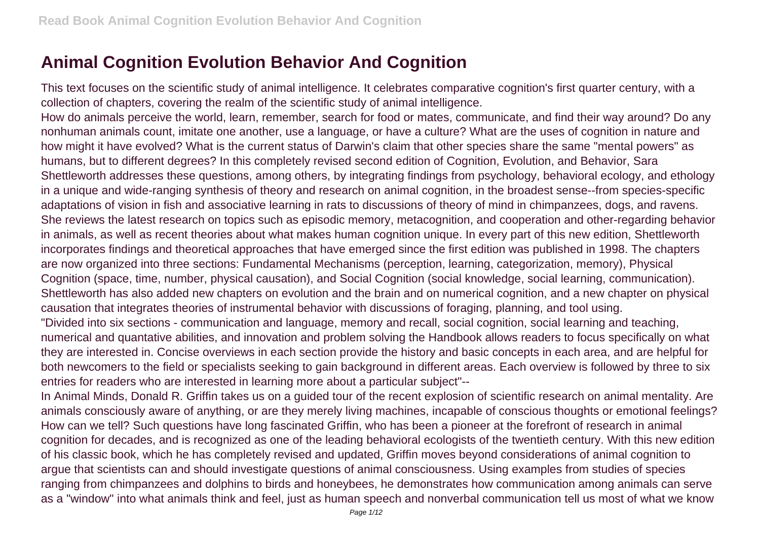## **Animal Cognition Evolution Behavior And Cognition**

This text focuses on the scientific study of animal intelligence. It celebrates comparative cognition's first quarter century, with a collection of chapters, covering the realm of the scientific study of animal intelligence.

How do animals perceive the world, learn, remember, search for food or mates, communicate, and find their way around? Do any nonhuman animals count, imitate one another, use a language, or have a culture? What are the uses of cognition in nature and how might it have evolved? What is the current status of Darwin's claim that other species share the same "mental powers" as humans, but to different degrees? In this completely revised second edition of Cognition, Evolution, and Behavior, Sara Shettleworth addresses these questions, among others, by integrating findings from psychology, behavioral ecology, and ethology in a unique and wide-ranging synthesis of theory and research on animal cognition, in the broadest sense--from species-specific adaptations of vision in fish and associative learning in rats to discussions of theory of mind in chimpanzees, dogs, and ravens. She reviews the latest research on topics such as episodic memory, metacognition, and cooperation and other-regarding behavior in animals, as well as recent theories about what makes human cognition unique. In every part of this new edition, Shettleworth incorporates findings and theoretical approaches that have emerged since the first edition was published in 1998. The chapters are now organized into three sections: Fundamental Mechanisms (perception, learning, categorization, memory), Physical Cognition (space, time, number, physical causation), and Social Cognition (social knowledge, social learning, communication). Shettleworth has also added new chapters on evolution and the brain and on numerical cognition, and a new chapter on physical causation that integrates theories of instrumental behavior with discussions of foraging, planning, and tool using. "Divided into six sections - communication and language, memory and recall, social cognition, social learning and teaching, numerical and quantative abilities, and innovation and problem solving the Handbook allows readers to focus specifically on what they are interested in. Concise overviews in each section provide the history and basic concepts in each area, and are helpful for both newcomers to the field or specialists seeking to gain background in different areas. Each overview is followed by three to six entries for readers who are interested in learning more about a particular subject"--

In Animal Minds, Donald R. Griffin takes us on a guided tour of the recent explosion of scientific research on animal mentality. Are animals consciously aware of anything, or are they merely living machines, incapable of conscious thoughts or emotional feelings? How can we tell? Such questions have long fascinated Griffin, who has been a pioneer at the forefront of research in animal cognition for decades, and is recognized as one of the leading behavioral ecologists of the twentieth century. With this new edition of his classic book, which he has completely revised and updated, Griffin moves beyond considerations of animal cognition to argue that scientists can and should investigate questions of animal consciousness. Using examples from studies of species ranging from chimpanzees and dolphins to birds and honeybees, he demonstrates how communication among animals can serve as a "window" into what animals think and feel, just as human speech and nonverbal communication tell us most of what we know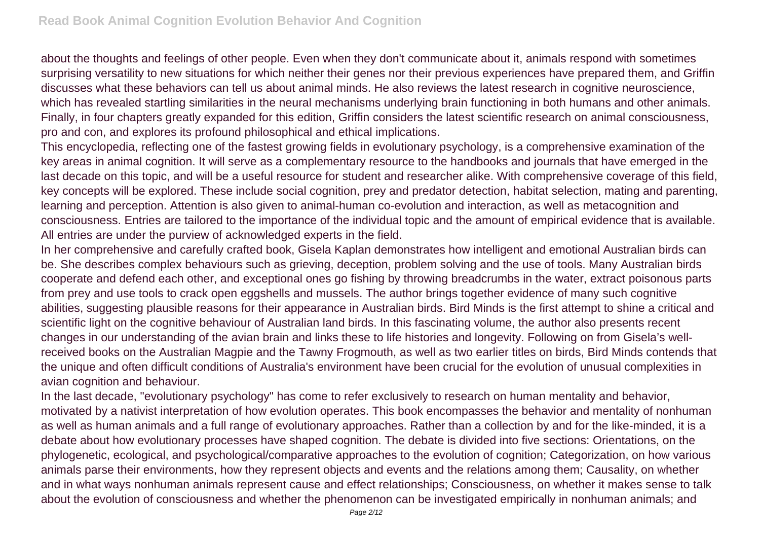about the thoughts and feelings of other people. Even when they don't communicate about it, animals respond with sometimes surprising versatility to new situations for which neither their genes nor their previous experiences have prepared them, and Griffin discusses what these behaviors can tell us about animal minds. He also reviews the latest research in cognitive neuroscience, which has revealed startling similarities in the neural mechanisms underlying brain functioning in both humans and other animals. Finally, in four chapters greatly expanded for this edition, Griffin considers the latest scientific research on animal consciousness, pro and con, and explores its profound philosophical and ethical implications.

This encyclopedia, reflecting one of the fastest growing fields in evolutionary psychology, is a comprehensive examination of the key areas in animal cognition. It will serve as a complementary resource to the handbooks and journals that have emerged in the last decade on this topic, and will be a useful resource for student and researcher alike. With comprehensive coverage of this field, key concepts will be explored. These include social cognition, prey and predator detection, habitat selection, mating and parenting, learning and perception. Attention is also given to animal-human co-evolution and interaction, as well as metacognition and consciousness. Entries are tailored to the importance of the individual topic and the amount of empirical evidence that is available. All entries are under the purview of acknowledged experts in the field.

In her comprehensive and carefully crafted book, Gisela Kaplan demonstrates how intelligent and emotional Australian birds can be. She describes complex behaviours such as grieving, deception, problem solving and the use of tools. Many Australian birds cooperate and defend each other, and exceptional ones go fishing by throwing breadcrumbs in the water, extract poisonous parts from prey and use tools to crack open eggshells and mussels. The author brings together evidence of many such cognitive abilities, suggesting plausible reasons for their appearance in Australian birds. Bird Minds is the first attempt to shine a critical and scientific light on the cognitive behaviour of Australian land birds. In this fascinating volume, the author also presents recent changes in our understanding of the avian brain and links these to life histories and longevity. Following on from Gisela's wellreceived books on the Australian Magpie and the Tawny Frogmouth, as well as two earlier titles on birds, Bird Minds contends that the unique and often difficult conditions of Australia's environment have been crucial for the evolution of unusual complexities in avian cognition and behaviour.

In the last decade, "evolutionary psychology" has come to refer exclusively to research on human mentality and behavior, motivated by a nativist interpretation of how evolution operates. This book encompasses the behavior and mentality of nonhuman as well as human animals and a full range of evolutionary approaches. Rather than a collection by and for the like-minded, it is a debate about how evolutionary processes have shaped cognition. The debate is divided into five sections: Orientations, on the phylogenetic, ecological, and psychological/comparative approaches to the evolution of cognition; Categorization, on how various animals parse their environments, how they represent objects and events and the relations among them; Causality, on whether and in what ways nonhuman animals represent cause and effect relationships; Consciousness, on whether it makes sense to talk about the evolution of consciousness and whether the phenomenon can be investigated empirically in nonhuman animals; and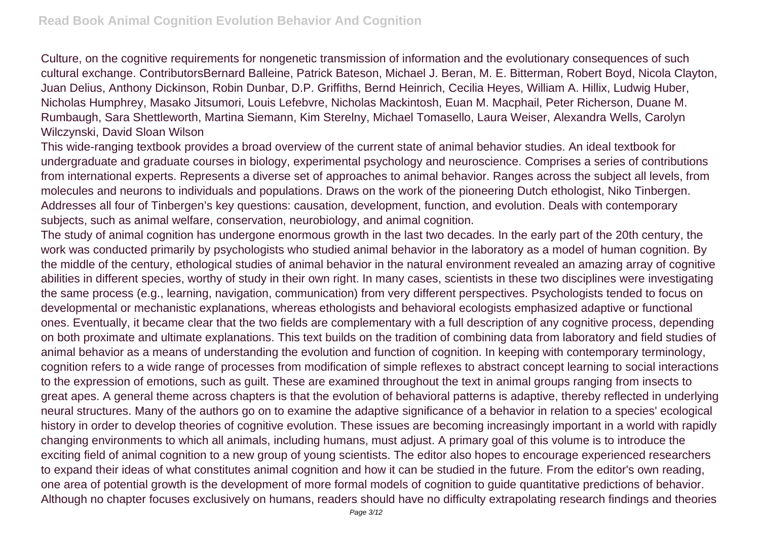Culture, on the cognitive requirements for nongenetic transmission of information and the evolutionary consequences of such cultural exchange. ContributorsBernard Balleine, Patrick Bateson, Michael J. Beran, M. E. Bitterman, Robert Boyd, Nicola Clayton, Juan Delius, Anthony Dickinson, Robin Dunbar, D.P. Griffiths, Bernd Heinrich, Cecilia Heyes, William A. Hillix, Ludwig Huber, Nicholas Humphrey, Masako Jitsumori, Louis Lefebvre, Nicholas Mackintosh, Euan M. Macphail, Peter Richerson, Duane M. Rumbaugh, Sara Shettleworth, Martina Siemann, Kim Sterelny, Michael Tomasello, Laura Weiser, Alexandra Wells, Carolyn Wilczynski, David Sloan Wilson

This wide-ranging textbook provides a broad overview of the current state of animal behavior studies. An ideal textbook for undergraduate and graduate courses in biology, experimental psychology and neuroscience. Comprises a series of contributions from international experts. Represents a diverse set of approaches to animal behavior. Ranges across the subject all levels, from molecules and neurons to individuals and populations. Draws on the work of the pioneering Dutch ethologist, Niko Tinbergen. Addresses all four of Tinbergen's key questions: causation, development, function, and evolution. Deals with contemporary subjects, such as animal welfare, conservation, neurobiology, and animal cognition.

The study of animal cognition has undergone enormous growth in the last two decades. In the early part of the 20th century, the work was conducted primarily by psychologists who studied animal behavior in the laboratory as a model of human cognition. By the middle of the century, ethological studies of animal behavior in the natural environment revealed an amazing array of cognitive abilities in different species, worthy of study in their own right. In many cases, scientists in these two disciplines were investigating the same process (e.g., learning, navigation, communication) from very different perspectives. Psychologists tended to focus on developmental or mechanistic explanations, whereas ethologists and behavioral ecologists emphasized adaptive or functional ones. Eventually, it became clear that the two fields are complementary with a full description of any cognitive process, depending on both proximate and ultimate explanations. This text builds on the tradition of combining data from laboratory and field studies of animal behavior as a means of understanding the evolution and function of cognition. In keeping with contemporary terminology, cognition refers to a wide range of processes from modification of simple reflexes to abstract concept learning to social interactions to the expression of emotions, such as guilt. These are examined throughout the text in animal groups ranging from insects to great apes. A general theme across chapters is that the evolution of behavioral patterns is adaptive, thereby reflected in underlying neural structures. Many of the authors go on to examine the adaptive significance of a behavior in relation to a species' ecological history in order to develop theories of cognitive evolution. These issues are becoming increasingly important in a world with rapidly changing environments to which all animals, including humans, must adjust. A primary goal of this volume is to introduce the exciting field of animal cognition to a new group of young scientists. The editor also hopes to encourage experienced researchers to expand their ideas of what constitutes animal cognition and how it can be studied in the future. From the editor's own reading, one area of potential growth is the development of more formal models of cognition to guide quantitative predictions of behavior. Although no chapter focuses exclusively on humans, readers should have no difficulty extrapolating research findings and theories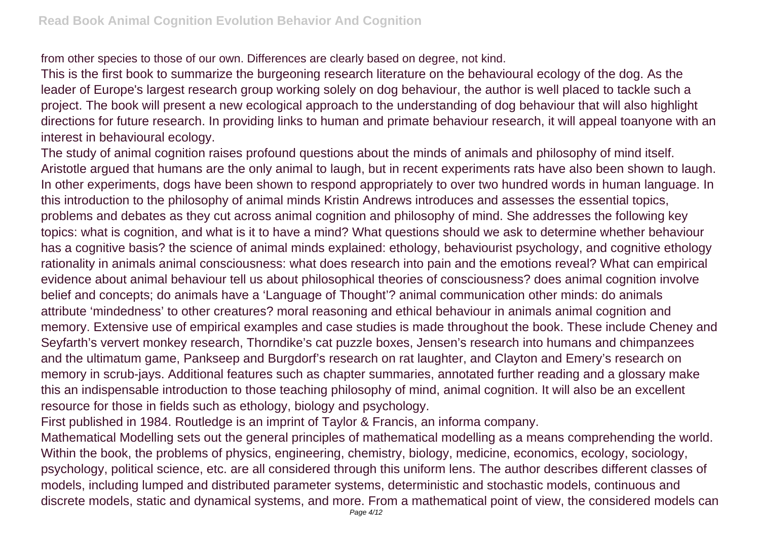from other species to those of our own. Differences are clearly based on degree, not kind.

This is the first book to summarize the burgeoning research literature on the behavioural ecology of the dog. As the leader of Europe's largest research group working solely on dog behaviour, the author is well placed to tackle such a project. The book will present a new ecological approach to the understanding of dog behaviour that will also highlight directions for future research. In providing links to human and primate behaviour research, it will appeal toanyone with an interest in behavioural ecology.

The study of animal cognition raises profound questions about the minds of animals and philosophy of mind itself. Aristotle argued that humans are the only animal to laugh, but in recent experiments rats have also been shown to laugh. In other experiments, dogs have been shown to respond appropriately to over two hundred words in human language. In this introduction to the philosophy of animal minds Kristin Andrews introduces and assesses the essential topics, problems and debates as they cut across animal cognition and philosophy of mind. She addresses the following key topics: what is cognition, and what is it to have a mind? What questions should we ask to determine whether behaviour has a cognitive basis? the science of animal minds explained: ethology, behaviourist psychology, and cognitive ethology rationality in animals animal consciousness: what does research into pain and the emotions reveal? What can empirical evidence about animal behaviour tell us about philosophical theories of consciousness? does animal cognition involve belief and concepts; do animals have a 'Language of Thought'? animal communication other minds: do animals attribute 'mindedness' to other creatures? moral reasoning and ethical behaviour in animals animal cognition and memory. Extensive use of empirical examples and case studies is made throughout the book. These include Cheney and Seyfarth's ververt monkey research, Thorndike's cat puzzle boxes, Jensen's research into humans and chimpanzees and the ultimatum game, Pankseep and Burgdorf's research on rat laughter, and Clayton and Emery's research on memory in scrub-jays. Additional features such as chapter summaries, annotated further reading and a glossary make this an indispensable introduction to those teaching philosophy of mind, animal cognition. It will also be an excellent resource for those in fields such as ethology, biology and psychology.

First published in 1984. Routledge is an imprint of Taylor & Francis, an informa company.

Mathematical Modelling sets out the general principles of mathematical modelling as a means comprehending the world. Within the book, the problems of physics, engineering, chemistry, biology, medicine, economics, ecology, sociology, psychology, political science, etc. are all considered through this uniform lens. The author describes different classes of models, including lumped and distributed parameter systems, deterministic and stochastic models, continuous and discrete models, static and dynamical systems, and more. From a mathematical point of view, the considered models can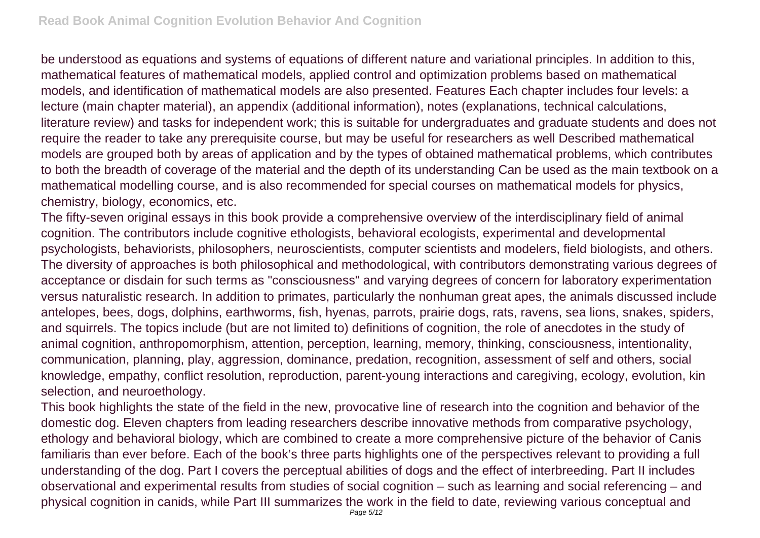be understood as equations and systems of equations of different nature and variational principles. In addition to this, mathematical features of mathematical models, applied control and optimization problems based on mathematical models, and identification of mathematical models are also presented. Features Each chapter includes four levels: a lecture (main chapter material), an appendix (additional information), notes (explanations, technical calculations, literature review) and tasks for independent work; this is suitable for undergraduates and graduate students and does not require the reader to take any prerequisite course, but may be useful for researchers as well Described mathematical models are grouped both by areas of application and by the types of obtained mathematical problems, which contributes to both the breadth of coverage of the material and the depth of its understanding Can be used as the main textbook on a mathematical modelling course, and is also recommended for special courses on mathematical models for physics, chemistry, biology, economics, etc.

The fifty-seven original essays in this book provide a comprehensive overview of the interdisciplinary field of animal cognition. The contributors include cognitive ethologists, behavioral ecologists, experimental and developmental psychologists, behaviorists, philosophers, neuroscientists, computer scientists and modelers, field biologists, and others. The diversity of approaches is both philosophical and methodological, with contributors demonstrating various degrees of acceptance or disdain for such terms as "consciousness" and varying degrees of concern for laboratory experimentation versus naturalistic research. In addition to primates, particularly the nonhuman great apes, the animals discussed include antelopes, bees, dogs, dolphins, earthworms, fish, hyenas, parrots, prairie dogs, rats, ravens, sea lions, snakes, spiders, and squirrels. The topics include (but are not limited to) definitions of cognition, the role of anecdotes in the study of animal cognition, anthropomorphism, attention, perception, learning, memory, thinking, consciousness, intentionality, communication, planning, play, aggression, dominance, predation, recognition, assessment of self and others, social knowledge, empathy, conflict resolution, reproduction, parent-young interactions and caregiving, ecology, evolution, kin selection, and neuroethology.

This book highlights the state of the field in the new, provocative line of research into the cognition and behavior of the domestic dog. Eleven chapters from leading researchers describe innovative methods from comparative psychology, ethology and behavioral biology, which are combined to create a more comprehensive picture of the behavior of Canis familiaris than ever before. Each of the book's three parts highlights one of the perspectives relevant to providing a full understanding of the dog. Part I covers the perceptual abilities of dogs and the effect of interbreeding. Part II includes observational and experimental results from studies of social cognition – such as learning and social referencing – and physical cognition in canids, while Part III summarizes the work in the field to date, reviewing various conceptual and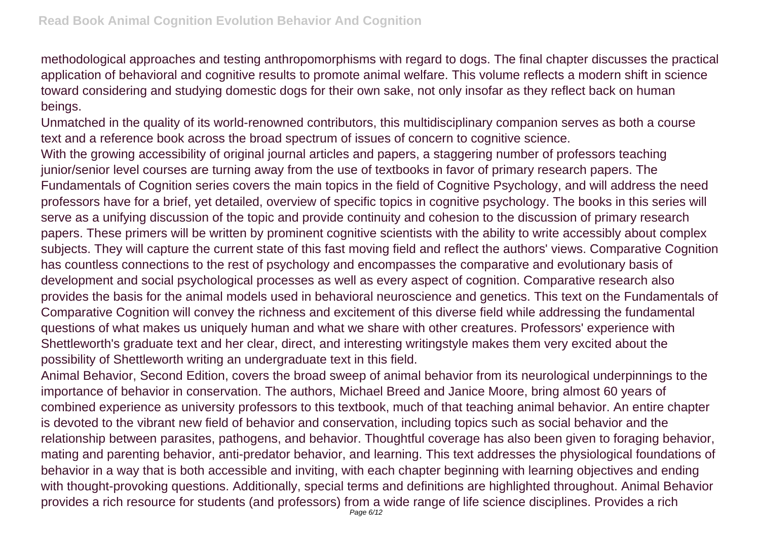methodological approaches and testing anthropomorphisms with regard to dogs. The final chapter discusses the practical application of behavioral and cognitive results to promote animal welfare. This volume reflects a modern shift in science toward considering and studying domestic dogs for their own sake, not only insofar as they reflect back on human beings.

Unmatched in the quality of its world-renowned contributors, this multidisciplinary companion serves as both a course text and a reference book across the broad spectrum of issues of concern to cognitive science.

With the growing accessibility of original journal articles and papers, a staggering number of professors teaching junior/senior level courses are turning away from the use of textbooks in favor of primary research papers. The Fundamentals of Cognition series covers the main topics in the field of Cognitive Psychology, and will address the need professors have for a brief, yet detailed, overview of specific topics in cognitive psychology. The books in this series will serve as a unifying discussion of the topic and provide continuity and cohesion to the discussion of primary research papers. These primers will be written by prominent cognitive scientists with the ability to write accessibly about complex subjects. They will capture the current state of this fast moving field and reflect the authors' views. Comparative Cognition has countless connections to the rest of psychology and encompasses the comparative and evolutionary basis of development and social psychological processes as well as every aspect of cognition. Comparative research also provides the basis for the animal models used in behavioral neuroscience and genetics. This text on the Fundamentals of Comparative Cognition will convey the richness and excitement of this diverse field while addressing the fundamental questions of what makes us uniquely human and what we share with other creatures. Professors' experience with Shettleworth's graduate text and her clear, direct, and interesting writingstyle makes them very excited about the possibility of Shettleworth writing an undergraduate text in this field.

Animal Behavior, Second Edition, covers the broad sweep of animal behavior from its neurological underpinnings to the importance of behavior in conservation. The authors, Michael Breed and Janice Moore, bring almost 60 years of combined experience as university professors to this textbook, much of that teaching animal behavior. An entire chapter is devoted to the vibrant new field of behavior and conservation, including topics such as social behavior and the relationship between parasites, pathogens, and behavior. Thoughtful coverage has also been given to foraging behavior, mating and parenting behavior, anti-predator behavior, and learning. This text addresses the physiological foundations of behavior in a way that is both accessible and inviting, with each chapter beginning with learning objectives and ending with thought-provoking questions. Additionally, special terms and definitions are highlighted throughout. Animal Behavior provides a rich resource for students (and professors) from a wide range of life science disciplines. Provides a rich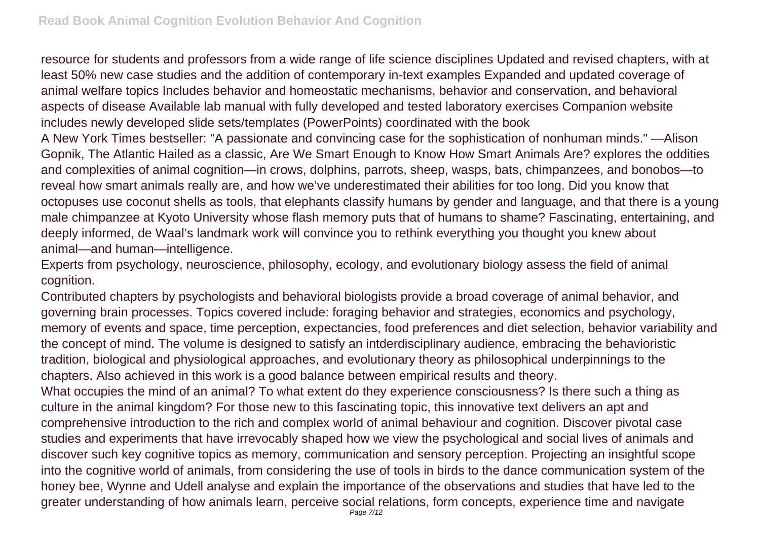resource for students and professors from a wide range of life science disciplines Updated and revised chapters, with at least 50% new case studies and the addition of contemporary in-text examples Expanded and updated coverage of animal welfare topics Includes behavior and homeostatic mechanisms, behavior and conservation, and behavioral aspects of disease Available lab manual with fully developed and tested laboratory exercises Companion website includes newly developed slide sets/templates (PowerPoints) coordinated with the book

A New York Times bestseller: "A passionate and convincing case for the sophistication of nonhuman minds." —Alison Gopnik, The Atlantic Hailed as a classic, Are We Smart Enough to Know How Smart Animals Are? explores the oddities and complexities of animal cognition—in crows, dolphins, parrots, sheep, wasps, bats, chimpanzees, and bonobos—to reveal how smart animals really are, and how we've underestimated their abilities for too long. Did you know that octopuses use coconut shells as tools, that elephants classify humans by gender and language, and that there is a young male chimpanzee at Kyoto University whose flash memory puts that of humans to shame? Fascinating, entertaining, and deeply informed, de Waal's landmark work will convince you to rethink everything you thought you knew about animal—and human—intelligence.

Experts from psychology, neuroscience, philosophy, ecology, and evolutionary biology assess the field of animal cognition.

Contributed chapters by psychologists and behavioral biologists provide a broad coverage of animal behavior, and governing brain processes. Topics covered include: foraging behavior and strategies, economics and psychology, memory of events and space, time perception, expectancies, food preferences and diet selection, behavior variability and the concept of mind. The volume is designed to satisfy an intderdisciplinary audience, embracing the behavioristic tradition, biological and physiological approaches, and evolutionary theory as philosophical underpinnings to the chapters. Also achieved in this work is a good balance between empirical results and theory.

What occupies the mind of an animal? To what extent do they experience consciousness? Is there such a thing as culture in the animal kingdom? For those new to this fascinating topic, this innovative text delivers an apt and comprehensive introduction to the rich and complex world of animal behaviour and cognition. Discover pivotal case studies and experiments that have irrevocably shaped how we view the psychological and social lives of animals and discover such key cognitive topics as memory, communication and sensory perception. Projecting an insightful scope into the cognitive world of animals, from considering the use of tools in birds to the dance communication system of the honey bee, Wynne and Udell analyse and explain the importance of the observations and studies that have led to the greater understanding of how animals learn, perceive social relations, form concepts, experience time and navigate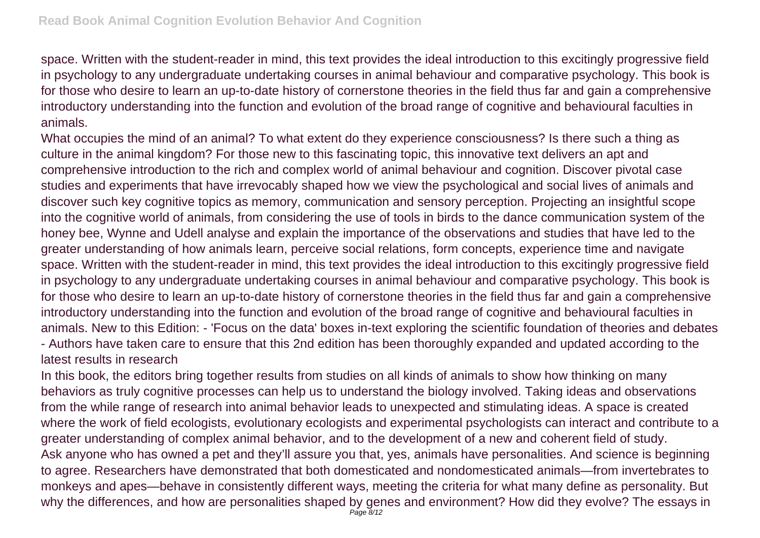space. Written with the student-reader in mind, this text provides the ideal introduction to this excitingly progressive field in psychology to any undergraduate undertaking courses in animal behaviour and comparative psychology. This book is for those who desire to learn an up-to-date history of cornerstone theories in the field thus far and gain a comprehensive introductory understanding into the function and evolution of the broad range of cognitive and behavioural faculties in animals.

What occupies the mind of an animal? To what extent do they experience consciousness? Is there such a thing as culture in the animal kingdom? For those new to this fascinating topic, this innovative text delivers an apt and comprehensive introduction to the rich and complex world of animal behaviour and cognition. Discover pivotal case studies and experiments that have irrevocably shaped how we view the psychological and social lives of animals and discover such key cognitive topics as memory, communication and sensory perception. Projecting an insightful scope into the cognitive world of animals, from considering the use of tools in birds to the dance communication system of the honey bee, Wynne and Udell analyse and explain the importance of the observations and studies that have led to the greater understanding of how animals learn, perceive social relations, form concepts, experience time and navigate space. Written with the student-reader in mind, this text provides the ideal introduction to this excitingly progressive field in psychology to any undergraduate undertaking courses in animal behaviour and comparative psychology. This book is for those who desire to learn an up-to-date history of cornerstone theories in the field thus far and gain a comprehensive introductory understanding into the function and evolution of the broad range of cognitive and behavioural faculties in animals. New to this Edition: - 'Focus on the data' boxes in-text exploring the scientific foundation of theories and debates - Authors have taken care to ensure that this 2nd edition has been thoroughly expanded and updated according to the latest results in research

In this book, the editors bring together results from studies on all kinds of animals to show how thinking on many behaviors as truly cognitive processes can help us to understand the biology involved. Taking ideas and observations from the while range of research into animal behavior leads to unexpected and stimulating ideas. A space is created where the work of field ecologists, evolutionary ecologists and experimental psychologists can interact and contribute to a greater understanding of complex animal behavior, and to the development of a new and coherent field of study. Ask anyone who has owned a pet and they'll assure you that, yes, animals have personalities. And science is beginning to agree. Researchers have demonstrated that both domesticated and nondomesticated animals—from invertebrates to monkeys and apes—behave in consistently different ways, meeting the criteria for what many define as personality. But why the differences, and how are personalities shaped by genes and environment? How did they evolve? The essays in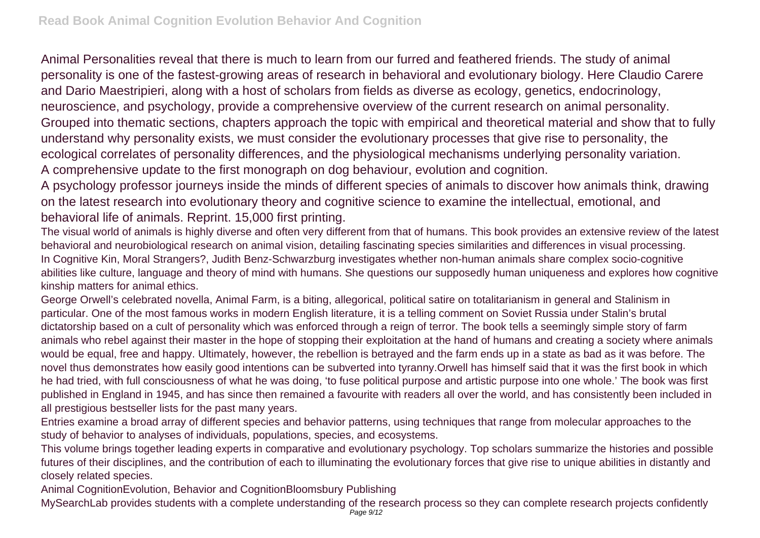Animal Personalities reveal that there is much to learn from our furred and feathered friends. The study of animal personality is one of the fastest-growing areas of research in behavioral and evolutionary biology. Here Claudio Carere and Dario Maestripieri, along with a host of scholars from fields as diverse as ecology, genetics, endocrinology, neuroscience, and psychology, provide a comprehensive overview of the current research on animal personality. Grouped into thematic sections, chapters approach the topic with empirical and theoretical material and show that to fully understand why personality exists, we must consider the evolutionary processes that give rise to personality, the ecological correlates of personality differences, and the physiological mechanisms underlying personality variation. A comprehensive update to the first monograph on dog behaviour, evolution and cognition.

A psychology professor journeys inside the minds of different species of animals to discover how animals think, drawing on the latest research into evolutionary theory and cognitive science to examine the intellectual, emotional, and behavioral life of animals. Reprint. 15,000 first printing.

The visual world of animals is highly diverse and often very different from that of humans. This book provides an extensive review of the latest behavioral and neurobiological research on animal vision, detailing fascinating species similarities and differences in visual processing. In Cognitive Kin, Moral Strangers?, Judith Benz-Schwarzburg investigates whether non-human animals share complex socio-cognitive abilities like culture, language and theory of mind with humans. She questions our supposedly human uniqueness and explores how cognitive kinship matters for animal ethics.

George Orwell's celebrated novella, Animal Farm, is a biting, allegorical, political satire on totalitarianism in general and Stalinism in particular. One of the most famous works in modern English literature, it is a telling comment on Soviet Russia under Stalin's brutal dictatorship based on a cult of personality which was enforced through a reign of terror. The book tells a seemingly simple story of farm animals who rebel against their master in the hope of stopping their exploitation at the hand of humans and creating a society where animals would be equal, free and happy. Ultimately, however, the rebellion is betrayed and the farm ends up in a state as bad as it was before. The novel thus demonstrates how easily good intentions can be subverted into tyranny.Orwell has himself said that it was the first book in which he had tried, with full consciousness of what he was doing, 'to fuse political purpose and artistic purpose into one whole.' The book was first published in England in 1945, and has since then remained a favourite with readers all over the world, and has consistently been included in all prestigious bestseller lists for the past many years.

Entries examine a broad array of different species and behavior patterns, using techniques that range from molecular approaches to the study of behavior to analyses of individuals, populations, species, and ecosystems.

This volume brings together leading experts in comparative and evolutionary psychology. Top scholars summarize the histories and possible futures of their disciplines, and the contribution of each to illuminating the evolutionary forces that give rise to unique abilities in distantly and closely related species.

Animal CognitionEvolution, Behavior and CognitionBloomsbury Publishing

MySearchLab provides students with a complete understanding of the research process so they can complete research projects confidently Page 9/12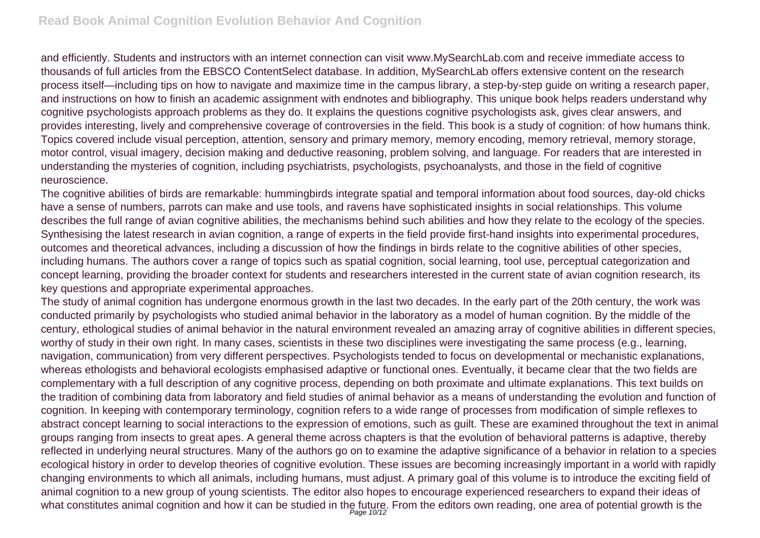and efficiently. Students and instructors with an internet connection can visit www.MySearchLab.com and receive immediate access to thousands of full articles from the EBSCO ContentSelect database. In addition, MySearchLab offers extensive content on the research process itself—including tips on how to navigate and maximize time in the campus library, a step-by-step guide on writing a research paper, and instructions on how to finish an academic assignment with endnotes and bibliography. This unique book helps readers understand why cognitive psychologists approach problems as they do. It explains the questions cognitive psychologists ask, gives clear answers, and provides interesting, lively and comprehensive coverage of controversies in the field. This book is a study of cognition: of how humans think. Topics covered include visual perception, attention, sensory and primary memory, memory encoding, memory retrieval, memory storage, motor control, visual imagery, decision making and deductive reasoning, problem solving, and language. For readers that are interested in understanding the mysteries of cognition, including psychiatrists, psychologists, psychoanalysts, and those in the field of cognitive neuroscience.

The cognitive abilities of birds are remarkable: hummingbirds integrate spatial and temporal information about food sources, day-old chicks have a sense of numbers, parrots can make and use tools, and ravens have sophisticated insights in social relationships. This volume describes the full range of avian cognitive abilities, the mechanisms behind such abilities and how they relate to the ecology of the species. Synthesising the latest research in avian cognition, a range of experts in the field provide first-hand insights into experimental procedures, outcomes and theoretical advances, including a discussion of how the findings in birds relate to the cognitive abilities of other species, including humans. The authors cover a range of topics such as spatial cognition, social learning, tool use, perceptual categorization and concept learning, providing the broader context for students and researchers interested in the current state of avian cognition research, its key questions and appropriate experimental approaches.

The study of animal cognition has undergone enormous growth in the last two decades. In the early part of the 20th century, the work was conducted primarily by psychologists who studied animal behavior in the laboratory as a model of human cognition. By the middle of the century, ethological studies of animal behavior in the natural environment revealed an amazing array of cognitive abilities in different species, worthy of study in their own right. In many cases, scientists in these two disciplines were investigating the same process (e.g., learning, navigation, communication) from very different perspectives. Psychologists tended to focus on developmental or mechanistic explanations, whereas ethologists and behavioral ecologists emphasised adaptive or functional ones. Eventually, it became clear that the two fields are complementary with a full description of any cognitive process, depending on both proximate and ultimate explanations. This text builds on the tradition of combining data from laboratory and field studies of animal behavior as a means of understanding the evolution and function of cognition. In keeping with contemporary terminology, cognition refers to a wide range of processes from modification of simple reflexes to abstract concept learning to social interactions to the expression of emotions, such as guilt. These are examined throughout the text in animal groups ranging from insects to great apes. A general theme across chapters is that the evolution of behavioral patterns is adaptive, thereby reflected in underlying neural structures. Many of the authors go on to examine the adaptive significance of a behavior in relation to a species ecological history in order to develop theories of cognitive evolution. These issues are becoming increasingly important in a world with rapidly changing environments to which all animals, including humans, must adjust. A primary goal of this volume is to introduce the exciting field of animal cognition to a new group of young scientists. The editor also hopes to encourage experienced researchers to expand their ideas of what constitutes animal cognition and how it can be studied in the future. From the editors own reading, one area of potential growth is the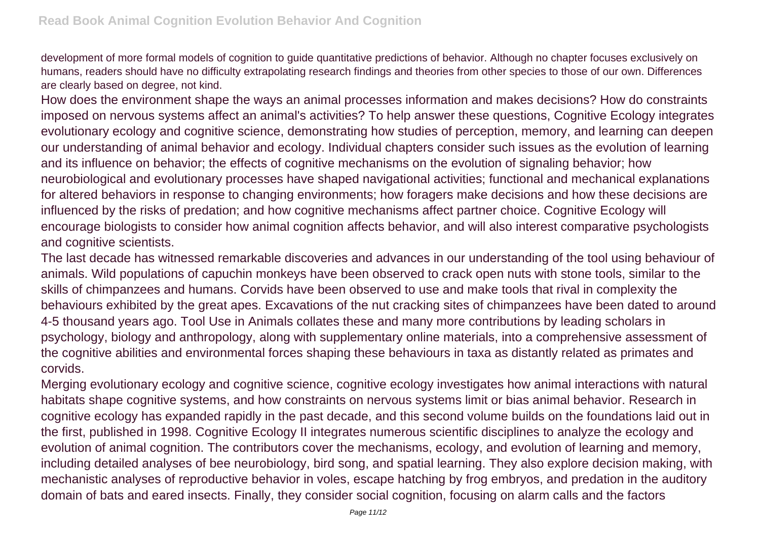development of more formal models of cognition to guide quantitative predictions of behavior. Although no chapter focuses exclusively on humans, readers should have no difficulty extrapolating research findings and theories from other species to those of our own. Differences are clearly based on degree, not kind.

How does the environment shape the ways an animal processes information and makes decisions? How do constraints imposed on nervous systems affect an animal's activities? To help answer these questions, Cognitive Ecology integrates evolutionary ecology and cognitive science, demonstrating how studies of perception, memory, and learning can deepen our understanding of animal behavior and ecology. Individual chapters consider such issues as the evolution of learning and its influence on behavior; the effects of cognitive mechanisms on the evolution of signaling behavior; how neurobiological and evolutionary processes have shaped navigational activities; functional and mechanical explanations for altered behaviors in response to changing environments; how foragers make decisions and how these decisions are influenced by the risks of predation; and how cognitive mechanisms affect partner choice. Cognitive Ecology will encourage biologists to consider how animal cognition affects behavior, and will also interest comparative psychologists and cognitive scientists.

The last decade has witnessed remarkable discoveries and advances in our understanding of the tool using behaviour of animals. Wild populations of capuchin monkeys have been observed to crack open nuts with stone tools, similar to the skills of chimpanzees and humans. Corvids have been observed to use and make tools that rival in complexity the behaviours exhibited by the great apes. Excavations of the nut cracking sites of chimpanzees have been dated to around 4-5 thousand years ago. Tool Use in Animals collates these and many more contributions by leading scholars in psychology, biology and anthropology, along with supplementary online materials, into a comprehensive assessment of the cognitive abilities and environmental forces shaping these behaviours in taxa as distantly related as primates and corvids.

Merging evolutionary ecology and cognitive science, cognitive ecology investigates how animal interactions with natural habitats shape cognitive systems, and how constraints on nervous systems limit or bias animal behavior. Research in cognitive ecology has expanded rapidly in the past decade, and this second volume builds on the foundations laid out in the first, published in 1998. Cognitive Ecology II integrates numerous scientific disciplines to analyze the ecology and evolution of animal cognition. The contributors cover the mechanisms, ecology, and evolution of learning and memory, including detailed analyses of bee neurobiology, bird song, and spatial learning. They also explore decision making, with mechanistic analyses of reproductive behavior in voles, escape hatching by frog embryos, and predation in the auditory domain of bats and eared insects. Finally, they consider social cognition, focusing on alarm calls and the factors